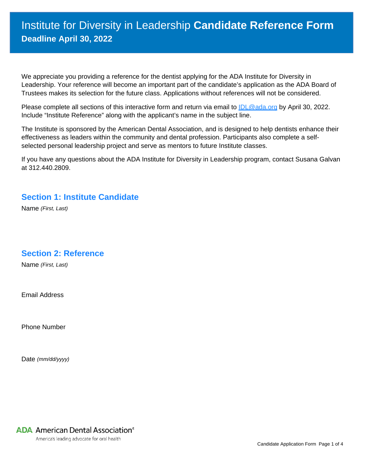# Institute for Diversity in Leadership **Candidate Reference Form Deadline April 30, 2022**

We appreciate you providing a reference for the dentist applying for the ADA Institute for Diversity in Leadership. Your reference will become an important part of the candidate's application as the ADA Board of Trustees makes its selection for the future class. Applications without references will not be considered.

Please complete all sections of this interactive form and return via email to **IDL@ada.org** by April 30, 2022. Include "Institute Reference" along with the applicant's name in the subject line.

The Institute is sponsored by the American Dental Association, and is designed to help dentists enhance their effectiveness as leaders within the community and dental profession. Participants also complete a selfselected personal leadership project and serve as mentors to future Institute classes.

If you have any questions about the ADA Institute for Diversity in Leadership program, contact Susana Galvan at 312.440.2809.

#### **Section 1: Institute Candidate**

Name *(First, Last)*

### **Section 2: Reference**

Name *(First, Last)*

Email Address

Phone Number

Date *(mm/dd/yyyy)*

## **ADA** American Dental Association<sup>®</sup>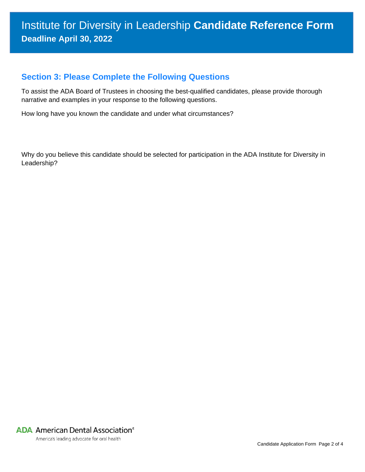### **Section 3: Please Complete the Following Questions**

To assist the ADA Board of Trustees in choosing the best-qualified candidates, please provide thorough narrative and examples in your response to the following questions.

How long have you known the candidate and under what circumstances?

Why do you believe this candidate should be selected for participation in the ADA Institute for Diversity in Leadership?

**ADA** American Dental Association<sup>®</sup>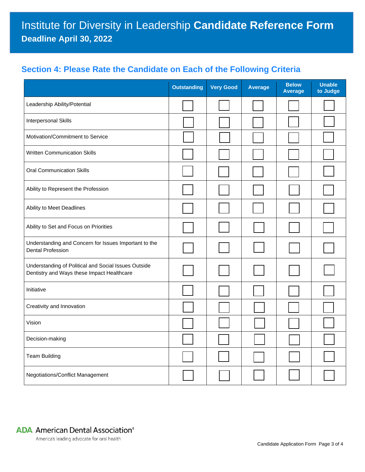# **Section 4: Please Rate the Candidate on Each of the Following Criteria**

|                                                                                                    | <b>Outstanding</b> | <b>Very Good</b> | <b>Average</b> | <b>Below</b><br><b>Average</b> | <b>Unable</b><br>to Judge |
|----------------------------------------------------------------------------------------------------|--------------------|------------------|----------------|--------------------------------|---------------------------|
| Leadership Ability/Potential                                                                       |                    |                  |                |                                |                           |
| <b>Interpersonal Skills</b>                                                                        |                    |                  |                |                                |                           |
| Motivation/Commitment to Service                                                                   |                    |                  |                |                                |                           |
| <b>Written Communication Skills</b>                                                                |                    |                  |                |                                |                           |
| <b>Oral Communication Skills</b>                                                                   |                    |                  |                |                                |                           |
| Ability to Represent the Profession                                                                |                    |                  |                |                                |                           |
| Ability to Meet Deadlines                                                                          |                    |                  |                |                                |                           |
| Ability to Set and Focus on Priorities                                                             |                    |                  |                |                                |                           |
| Understanding and Concern for Issues Important to the<br><b>Dental Profession</b>                  |                    |                  |                |                                |                           |
| Understanding of Political and Social Issues Outside<br>Dentistry and Ways these Impact Healthcare |                    |                  |                |                                |                           |
| Initiative                                                                                         |                    |                  |                |                                |                           |
| Creativity and Innovation                                                                          |                    |                  |                |                                |                           |
| Vision                                                                                             |                    |                  |                |                                |                           |
| Decision-making                                                                                    |                    |                  |                |                                |                           |
| <b>Team Building</b>                                                                               |                    |                  |                |                                |                           |
| Negotiations/Conflict Management                                                                   |                    |                  |                |                                |                           |

**ADA** American Dental Association®